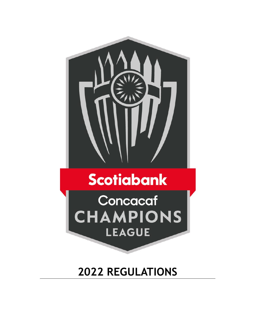

# **Scotiabank**

Concacaf **CHAMPIONS LEAGUE** 

## **2022 REGULATIONS**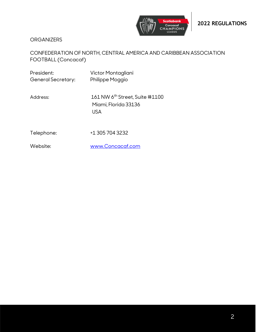

**ORGANIZERS** 

## CONFEDERATION OF NORTH, CENTRAL AMERICA AND CARIBBEAN ASSOCIATION FOOTBALL (Concacaf)

| President:<br>General Secretary: | Victor Montagliani<br>Philippe Moggio                                            |
|----------------------------------|----------------------------------------------------------------------------------|
| Address:                         | 161 NW 6 <sup>th</sup> Street, Suite #1100<br>Miami, Florida 33136<br><b>USA</b> |
| Telephone:                       | +1 305 704 3232                                                                  |
| Website:                         | www.Concacaf.com                                                                 |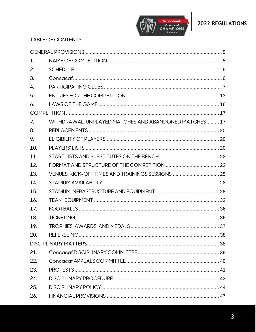



## TABLE OF CONTENTS

| 1.  |                                                       |  |
|-----|-------------------------------------------------------|--|
| 2.  |                                                       |  |
| 3.  |                                                       |  |
| 4.  |                                                       |  |
| 5.  |                                                       |  |
| 6.  |                                                       |  |
|     |                                                       |  |
| 7.  | WITHDRAWAL, UNPLAYED MATCHES AND ABANDONED MATCHES 17 |  |
| 8.  |                                                       |  |
| 9.  |                                                       |  |
| 10. |                                                       |  |
| 11. |                                                       |  |
| 12. |                                                       |  |
| 13. | VENUES, KICK-OFF TIMES AND TRAININGS SESSIONS  25     |  |
| 14. |                                                       |  |
| 15. |                                                       |  |
| 16. |                                                       |  |
| 17. |                                                       |  |
| 18. |                                                       |  |
| 19. |                                                       |  |
| 20. |                                                       |  |
|     |                                                       |  |
| 21. |                                                       |  |
| 22. |                                                       |  |
| 23. |                                                       |  |
| 24. |                                                       |  |
| 25. |                                                       |  |
| 26. |                                                       |  |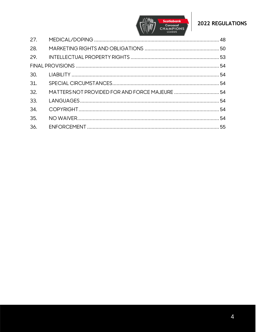



| 27. |  |
|-----|--|
| 28. |  |
|     |  |
|     |  |
|     |  |
| 31. |  |
| 32. |  |
| 33. |  |
| 34. |  |
| 35. |  |
| 36. |  |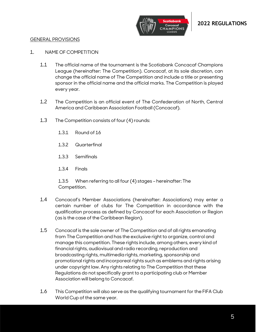

#### <span id="page-4-0"></span>GENERAL PROVISIONS

#### <span id="page-4-1"></span>1. NAME OF COMPETITION

- 1.1 The official name of the tournament is the Scotiabank Concacaf Champions League (hereinafter: The Competition). Concacaf, at its sole discretion, can change the official name of The Competition and include a title or presenting sponsor in the official name and the official marks. The Competition is played every year.
- 1.2 The Competition is an official event of The Confederation of North, Central America and Caribbean Association Football (Concacaf).
- 1.3 The Competition consists of four (4) rounds:
	- 1.3.1 Round of 16
	- 1.3.2 Quarterfinal
	- 1.3.3 Semifinals
	- 1.3.4 Finals

1.3.5 When referring to all four (4) stages – hereinafter: The Competition.

- 1.4 Concacaf's Member Associations (hereinafter: Associations) may enter a certain number of clubs for The Competition in accordance with the qualification process as defined by Concacaf for each Association or Region (as is the case of the Caribbean Region).
- 1.5 Concacaf is the sole owner of The Competition and of all rights emanating from The Competition and has the exclusive right to organize, control and manage this competition. These rights include, among others, every kind of financial rights, audiovisual and radio recording, reproduction and broadcasting rights, multimedia rights, marketing, sponsorship and promotional rights and incorporeal rights such as emblems and rights arising under copyright law. Any rights relating to The Competition that these Regulations do not specifically grant to a participating club or Member Association will belong to Concacaf.
- 1.6 This Competition will also serve as the qualifying tournament for the FIFA Club World Cup of the same year.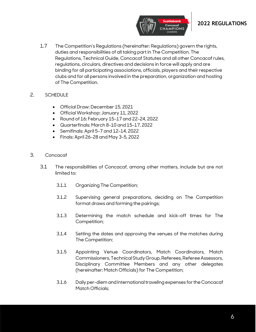

1.7 The Competition's Regulations (hereinafter: Regulations) govern the rights, duties and responsibilities of all taking part in The Competition. The Regulations, Technical Guide, Concacaf Statutes and all other Concacaf rules, regulations, circulars, directives and decisions in force will apply and are binding for all participating associations, officials, players and their respective clubs and for all persons involved in the preparation, organization and hosting of The Competition.

#### <span id="page-5-0"></span>2. SCHEDULE

- Official Draw: December 15, 2021
- Official Workshop: January 11, 2022
- Round of 16: February 15-17 and 22-24, 2022
- Quarterfinals: March 8-10 and 15-17, 2022
- Semifinals: April 5-7 and 12-14, 2022
- Finals: April 26-28 and May 3-5, 2022
- <span id="page-5-1"></span>3. Concacaf
	- 3.1 The responsibilities of Concacaf, among other matters, include but are not limited to:
		- 3.1.1 Organizing The Competition;
		- 3.1.2 Supervising general preparations, deciding on The Competition format draws and forming the pairings;
		- 3.1.3 Determining the match schedule and kick-off times for The Competition;
		- 3.1.4 Setting the dates and approving the venues of the matches during The Competition;
		- 3.1.5 Appointing Venue Coordinators, Match Coordinators, Match Commissioners, Technical Study Group, Referees, Referee Assessors, Disciplinary Committee Members and any other delegates (hereinafter: Match Officials) for The Competition;
		- 3.1.6 Daily per-diem and international traveling expenses for the Concacaf Match Officials: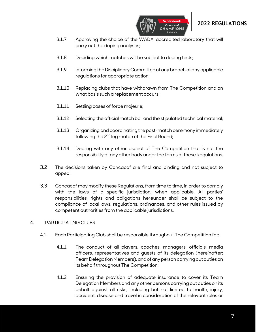

3.1.7 Approving the choice of the WADA-accredited laboratory that will carry out the doping analyses;

**HAMPIONS** 

- 3.1.8 Deciding which matches will be subject to doping tests;
- 3.1.9 Informing the Disciplinary Committee of any breach of any applicable regulations for appropriate action;
- 3.1.10 Replacing clubs that have withdrawn from The Competition and on what basis such a replacement occurs;
- 3.1.11 Settling cases of force majeure;
- 3.1.12 Selecting the official match ball and the stipulated technical material;
- 3.1.13 Organizing and coordinating the post-match ceremony immediately following the 2<sup>nd</sup> leg match of the Final Round;
- 3.1.14 Dealing with any other aspect of The Competition that is not the responsibility of any other body under the terms of these Regulations.
- 3.2 The decisions taken by Concacaf are final and binding and not subject to appeal.
- 3.3 Concacaf may modify these Regulations, from time to time, in order to comply with the laws of a specific jurisdiction, when applicable. All parties' responsibilities, rights and obligations hereunder shall be subject to the compliance of local laws, regulations, ordinances, and other rules issued by competent authorities from the applicable jurisdictions.

#### <span id="page-6-0"></span>4. PARTICIPATING CLUBS

- 4.1 Each Participating Club shall be responsible throughout The Competition for:
	- 4.1.1 The conduct of all players, coaches, managers, officials, media officers, representatives and guests of its delegation (hereinafter: Team Delegation Members), and of any person carrying out duties on its behalf throughout The Competition;
	- 4.1.2 Ensuring the provision of adequate insurance to cover its Team Delegation Members and any other persons carrying out duties on its behalf against all risks, including but not limited to health, injury, accident, disease and travel in consideration of the relevant rules or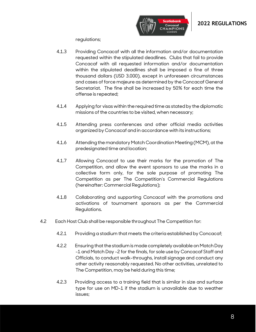

regulations;

- 4.1.3 Providing Concacaf with all the information and/or documentation requested within the stipulated deadlines. Clubs that fail to provide Concacaf with all requested information and/or documentation within the stipulated deadlines shall be imposed a fine of three thousand dollars (USD 3.000), except in unforeseen circumstances and cases of force majeure as determined by the Concacaf General Secretariat. The fine shall be increased by 50% for each time the offense is repeated;
- 4.1.4 Applying for visas within the required time as stated by the diplomatic missions of the countries to be visited, when necessary;
- 4.1.5 Attending press conferences and other official media activities organized by Concacaf and in accordance with its instructions;
- 4.1.6 Attending the mandatory Match Coordination Meeting (MCM), at the predesignated time and location;
- 4.1.7 Allowing Concacaf to use their marks for the promotion of The Competition, and allow the event sponsors to use the marks in a collective form only, for the sole purpose of promoting The Competition as per The Competition's Commercial Regulations (hereinafter: Commercial Regulations);
- 4.1.8 Collaborating and supporting Concacaf with the promotions and activations of tournament sponsors as per the Commercial Regulations.
- 4.2 Each Host Club shall be responsible throughout The Competition for:
	- 4.2.1 Providing a stadium that meets the criteria established by Concacaf;
	- 4.2.2 Ensuring that the stadium is made completely available on Match Day -1 and Match Day -2 for the finals, for sole use by Concacaf Staff and Officials, to conduct walk-throughs, install signage and conduct any other activity reasonably requested. No other activities, unrelated to The Competition, may be held during this time;
	- 4.2.3 Providing access to a training field that is similar in size and surface type for use on MD-1 if the stadium is unavailable due to weather issues;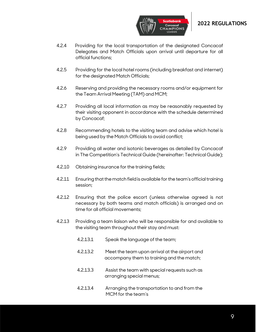

- 4.2.4 Providing for the local transportation of the designated Concacaf Delegates and Match Officials upon arrival until departure for all official functions;
- 4.2.5 Providing for the local hotel rooms (including breakfast and internet) for the designated Match Officials;
- 4.2.6 Reserving and providing the necessary rooms and/or equipment for the Team Arrival Meeting (TAM) and MCM;
- 4.2.7 Providing all local information as may be reasonably requested by their visiting opponent in accordance with the schedule determined by Concacaf;
- 4.2.8 Recommending hotels to the visiting team and advise which hotel is being used by the Match Officials to avoid conflict;
- 4.2.9 Providing all water and isotonic beverages as detailed by Concacaf in The Competition's Technical Guide (hereinafter: Technical Guide);
- 4.2.10 Obtaining insurance for the training fields;
- 4.2.11 Ensuring that the match field is available for the team's official training session;
- 4.2.12 Ensuring that the police escort (unless otherwise agreed is not necessary by both teams and match officials) is arranged and on time for all official movements;
- 4.2.13 Providing a team liaison who will be responsible for and available to the visiting team throughout their stay and must:
	- 4.2.13.1 Speak the language of the team;
	- 4.2.13.2 Meet the team upon arrival at the airport and accompany them to training and the match;
	- 4.2.13.3 Assist the team with special requests such as arranging special menus;
	- 4.2.13.4 Arranging the transportation to and from the MCM for the team's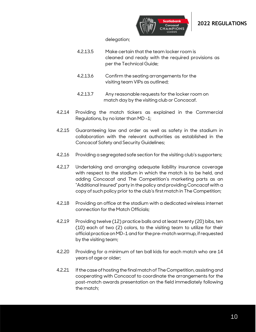

delegation;

- 4.2.13.5 Make certain that the team locker room is cleaned and ready with the required provisions as per the Technical Guide;
- 4.2.13.6 Confirm the seating arrangements for the visiting team VIPs as outlined;
- 4.2.13.7 Any reasonable requests for the locker room on match day by the visiting club or Concacaf.
- 4.2.14 Providing the match tickers as explained in the Commercial Regulations, by no later than MD -1;
- 4.2.15 Guaranteeing law and order as well as safety in the stadium in collaboration with the relevant authorities as established in the Concacaf Safety and Security Guidelines;
- 4.2.16 Providing a segregated safe section for the visiting club's supporters;
- 4.2.17 Undertaking and arranging adequate liability insurance coverage with respect to the stadium in which the match is to be held, and adding Concacaf and The Competition's marketing parts as an "Additional Insured" party in the policy and providing Concacaf with a copy of such policy prior to the club's first match in The Competition;
- 4.2.18 Providing an office at the stadium with a dedicated wireless internet connection for the Match Officials;
- 4.2.19 Providing twelve (12) practice balls and at least twenty (20) bibs, ten (10) each of two (2) colors, to the visiting team to utilize for their official practice on MD-1 and for the pre-match warmup, if requested by the visiting team;
- 4.2.20 Providing for a minimum of ten ball kids for each match who are 14 years of age or older;
- 4.2.21 If the case of hosting the final match of The Competition, assisting and cooperating with Concacaf to coordinate the arrangements for the post-match awards presentation on the field immediately following the match;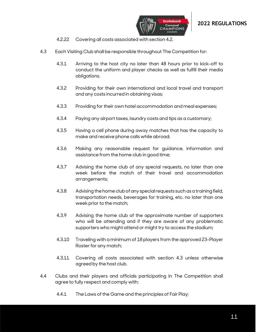



- 4.2.22 Covering all costs associated with section 4.2.
- 4.3 Each Visiting Club shall be responsible throughout The Competition for:
	- 4.3.1 Arriving to the host city no later than 48 hours prior to kick-off to conduct the uniform and player checks as well as fulfill their media obligations.
	- 4.3.2 Providing for their own international and local travel and transport and any costs incurred in obtaining visas;
	- 4.3.3 Providing for their own hotel accommodation and meal expenses;
	- 4.3.4 Paying any airport taxes, laundry costs and tips as a customary;
	- 4.3.5 Having a cell phone during away matches that has the capacity to make and receive phone calls while abroad;
	- 4.3.6 Making any reasonable request for guidance, information and assistance from the home club in good time;
	- 4.3.7 Advising the home club of any special requests, no later than one week before the match of their travel and accommodation arrangements;
	- 4.3.8 Advising the home club of any special requests such as a training field, transportation needs, beverages for training, etc. no later than one week prior to the match;
	- 4.3.9 Advising the home club of the approximate number of supporters who will be attending and if they are aware of any problematic supporters who might attend or might try to access the stadium;
	- 4.3.10 Traveling with a minimum of 18 players from the approved 23-Player Roster for any match;
	- 4.3.11 Covering all costs associated with section 4.3 unless otherwise agreed by the host club.
- 4.4 Clubs and their players and officials participating in The Competition shall agree to fully respect and comply with:
	- 4.4.1 The Laws of the Game and the principles of Fair Play;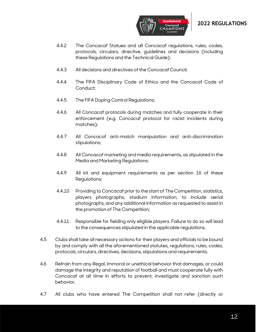

- 4.4.2 The Concacaf Statues and all Concacaf regulations, rules, codes, protocols, circulars, directive, guidelines and decisions (including these Regulations and the Technical Guide);
- 4.4.3 All decisions and directives of the Concacaf Council;
- 4.4.4 The FIFA Disciplinary Code of Ethics and the Concacaf Code of Conduct;
- 4.4.5 The FIFA Doping Control Regulations;
- 4.4.6 All Concacaf protocols during matches and fully cooperate in their enforcement (e.g. Concacaf protocol for racist incidents during matches);
- 4.4.7 All Concacaf anti-match manipulation and anti-discrimination stipulations;
- 4.4.8 All Concacaf marketing and media requirements, as stipulated in the Media and Marketing Regulations;
- 4.4.9 All kit and equipment requirements as per section 16 of these Regulations;
- 4.4.10 Providing to Concacaf prior to the start of The Competition, statistics, players photographs, stadium information, to include aerial photographs, and any additional information as requested to assist in the promotion of The Competition;
- 4.4.11 Responsible for fielding only eligible players. Failure to do so will lead to the consequences stipulated in the applicable regulations.
- 4.5 Clubs shall take all necessary actions for their players and officials to be bound by and comply with all the aforementioned statutes, regulations, rules, codes, protocols, circulars, directives, decisions, stipulations and requirements.
- 4.6 Refrain from any illegal, immoral or unethical behavior that damages, or could damage the integrity and reputation of football and must cooperate fully with Concacaf at all time in efforts to prevent, investigate and sanction such behavior.
- 4.7 All clubs who have entered The Competition shall not refer (directly or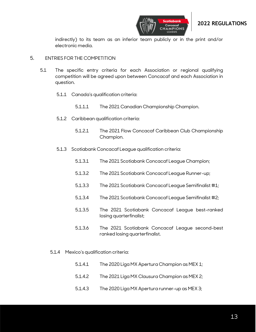



indirectly) to its team as an inferior team publicly or in the print and/or electronic media.

#### <span id="page-12-0"></span>5. ENTRIES FOR THE COMPETITION

- 5.1 The specific entry criteria for each Association or regional qualifying competition will be agreed upon between Concacaf and each Association in question.
	- 5.1.1 Canada's qualification criteria:
		- 5.1.1.1 The 2021 Canadian Championship Champion.
	- 5.1.2 Caribbean qualification criteria:
		- 5.1.2.1 The 2021 Flow Concacaf Caribbean Club Championship Champion.
	- 5.1.3 Scotiabank Concacaf League qualification criteria:
		- 5.1.3.1 The 2021 Scotiabank Concacaf League Champion;
		- 5.1.3.2 The 2021 Scotiabank Concacaf League Runner-up;
		- 5.1.3.3 The 2021 Scotiabank Concacaf League Semifinalist #1;
		- 5.1.3.4 The 2021 Scotiabank Concacaf League Semifinalist #2;
		- 5.1.3.5 The 2021 Scotiabank Concacaf League best-ranked losing quarterfinalist;
		- 5.1.3.6 The 2021 Scotiabank Concacaf League second-best ranked losing quarterfinalist.
	- 5.1.4 Mexico's qualification criteria:
		- 5.1.4.1 The 2020 Liga MX Apertura Champion as MEX 1;
		- 5.1.4.2 The 2021 Liga MX Clausura Champion as MEX 2;
		- 5.1.4.3 The 2020 Liga MX Apertura runner-up as MEX 3;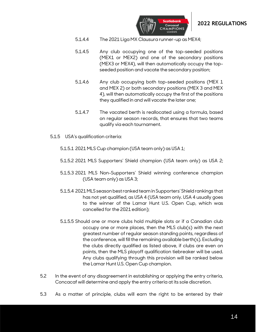



- 5.1.4.4 The 2021 Liga MX Clausura runner-up as MEX4;
- 5.1.4.5 Any club occupying one of the top-seeded positions (MEX1 or MEX2) and one of the secondary positions (MEX3 or MEX4), will then automatically occupy the topseeded position and vacate the secondary position;
- 5.1.4.6 Any club occupying both top-seeded positions (MEX 1 and MEX 2) or both secondary positions (MEX 3 and MEX 4), will then automatically occupy the first of the positions they qualified in and will vacate the later one;
- 5.1.4.7 The vacated berth is reallocated using a formula, based on regular season records, that ensures that two teams qualify via each tournament.
- 5.1.5 USA's qualification criteria:
	- 5.1.5.1 2021 MLS Cup champion (USA team only) as USA 1;
	- 5.1.5.2 2021 MLS Supporters' Shield champion (USA team only) as USA 2;
	- 5.1.5.3 2021 MLS Non-Supporters' Shield winning conference champion (USA team only) as USA 3;
	- 5.1.5.4 2021MLS season best ranked team in Supporters' Shield rankings that has not yet qualified, as USA 4 (USA team only. USA 4 usually goes to the winner of the Lamar Hunt U.S. Open Cup, which was cancelled for the 2021 edition);
	- 5.1.5.5 Should one or more clubs hold multiple slots or if a Canadian club occupy one or more places, then the MLS club(s) with the next greatest number of regular season standing points, regardless of the conference, will fill the remaining available berth(s). Excluding the clubs directly qualified as listed above, if clubs are even on points, then the MLS playoff qualification tiebreaker will be used. Any clubs qualifying through this provision will be ranked below the Lamar Hunt U.S. Open Cup champion.
- 5.2 In the event of any disagreement in establishing or applying the entry criteria, Concacaf will determine and apply the entry criteria at its sole discretion.
- 5.3 As a matter of principle, clubs will earn the right to be entered by their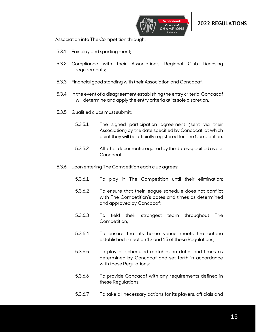



Association into The Competition through:

- 5.3.1 Fair play and sporting merit;
- 5.3.2 Compliance with their Association's Regional Club Licensing requirements;
- 5.3.3 Financial good standing with their Association and Concacaf.
- 5.3.4 In the event of a disagreement establishing the entry criteria, Concacaf will determine and apply the entry criteria at its sole discretion.
- 5.3.5 Qualified clubs must submit:
	- 5.3.5.1 The signed participation agreement (sent via their Association) by the date specified by Concacaf, at which point they will be officially registered for The Competition.
	- 5.3.5.2 All other documents required by the dates specified as per Concacaf.
- 5.3.6 Upon entering The Competition each club agrees:
	- 5.3.6.1 To play in The Competition until their elimination;
	- 5.3.6.2 To ensure that their league schedule does not conflict with The Competition's dates and times as determined and approved by Concacaf;
	- 5.3.6.3 To field their strongest team throughout The Competition;
	- 5.3.6.4 To ensure that its home venue meets the criteria established in section 13 and 15 of these Regulations;
	- 5.3.6.5 To play all scheduled matches on dates and times as determined by Concacaf and set forth in accordance with these Regulations;
	- 5.3.6.6 To provide Concacaf with any requirements defined in these Regulations;
	- 5.3.6.7 To take all necessary actions for its players, officials and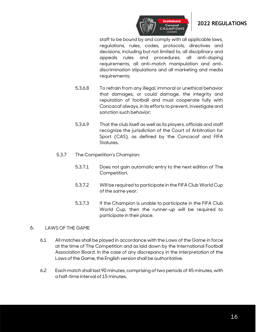

staff to be bound by and comply with all applicable laws, regulations, rules, codes, protocols, directives and decisions, including but not limited to, all disciplinary and appeals rules and procedures, all anti-doping requirements, all anti-match manipulation and antidiscrimination stipulations and all marketing and media requirements;

- 5.3.6.8 To refrain from any illegal, immoral or unethical behavior that damages, or could damage, the integrity and reputation of football and must cooperate fully with Concacaf always, in its efforts to prevent, investigate and sanction such behavior;
- 5.3.6.9 That the club itself as well as its players, officials and staff recognize the jurisdiction of the Court of Arbitration for Sport (CAS), as defined by the Concacaf and FIFA Statutes.
- 5.3.7 The Competition's Champion:
	- 5.3.7.1 Does not gain automatic entry to the next edition of The Competition.
	- 5.3.7.2 Will be required to participate in the FIFA Club World Cup of the same year.
	- 5.3.7.3 If the Champion is unable to participate in the FIFA Club World Cup, then the runner-up will be required to participate in their place.

#### <span id="page-15-0"></span>6. LAWS OF THE GAME

- 6.1 All matches shall be played in accordance with the Laws of the Game in force at the time of The Competition and as laid down by the International Football Association Board. In the case of any discrepancy in the interpretation of the Laws of the Game, the English version shall be authoritative.
- 6.2 Each match shall last 90 minutes, comprising of two periods of 45 minutes, with a half-time interval of 15 minutes.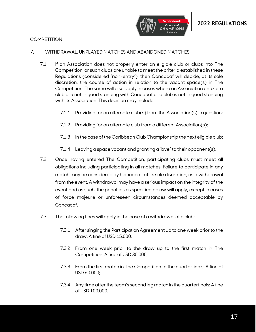

#### <span id="page-16-0"></span>**COMPETITION**

#### <span id="page-16-1"></span>7. WITHDRAWAL, UNPLAYED MATCHES AND ABANDONED MATCHES

- 7.1 If an Association does not properly enter an eligible club or clubs into The Competition, or such clubs are unable to meet the criteria established in these Regulations (considered "non-entry"), then Concacaf will decide, at its sole discretion, the course of action in relation to the vacant space(s) in The Competition. The same will also apply in cases where an Association and/or a club are not in good standing with Concacaf or a club is not in good standing with its Association. This decision may include:
	- 7.1.1 Providing for an alternate club(s) from the Association(s) in question;
	- 7.1.2 Providing for an alternate club from a different Association(s);
	- 7.1.3 In the case of the Caribbean Club Championship the next eligible club;
	- 7.1.4 Leaving a space vacant and granting a "bye" to their opponent(s).
- 7.2 Once having entered The Competition, participating clubs must meet all obligations including participating in all matches. Failure to participate in any match may be considered by Concacaf, at its sole discretion, as a withdrawal from the event. A withdrawal may have a serious impact on the integrity of the event and as such, the penalties as specified below will apply, except in cases of force majeure or unforeseen circumstances deemed acceptable by Concacaf.
- 7.3 The following fines will apply in the case of a withdrawal of a club:
	- 7.3.1 After singing the Participation Agreement up to one week prior to the draw: A fine of USD 15.000;
	- 7.3.2 From one week prior to the draw up to the first match in The Competition: A fine of USD 30.000;
	- 7.3.3 From the first match in The Competition to the quarterfinals: A fine of USD 60.000;
	- 7.3.4 Any time after the team's second leg match in the quarterfinals: A fine of USD 100.000.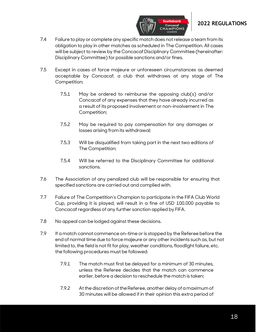

7.4 Failure to play or complete any specific match does not release a team from its obligation to play in other matches as scheduled in The Competition. All cases will be subject to review by the Concacaf Disciplinary Committee (hereinafter: Disciplinary Committee) for possible sanctions and/or fines.

**CHAMPIONS** 

- 7.5 Except in cases of force majeure or unforeseen circumstances as deemed acceptable by Concacaf, a club that withdraws at any stage of The Competition:
	- 7.5.1 May be ordered to reimburse the opposing club(s) and/or Concacaf of any expenses that they have already incurred as a result of its proposed involvement or non-involvement in The Competition;
	- 7.5.2 May be required to pay compensation for any damages or losses arising from its withdrawal;
	- 7.5.3 Will be disqualified from taking part in the next two editions of The Competition;
	- 7.5.4 Will be referred to the Disciplinary Committee for additional sanctions.
- 7.6 The Association of any penalized club will be responsible for ensuring that specified sanctions are carried out and complied with.
- 7.7 Failure of The Competition's Champion to participate in the FIFA Club World Cup, providing it is played, will result in a fine of USD 100.000 payable to Concacaf regardless of any further sanction applied by FIFA.
- 7.8 No appeal can be lodged against these decisions.
- 7.9 If a match cannot commence on-time or is stopped by the Referee before the end of normal time due to force majeure or any other incidents such as, but not limited to, the field is not fit for play, weather conditions, floodlight failure, etc. the following procedures must be followed:
	- 7.9.1 The match must first be delayed for a minimum of 30 minutes, unless the Referee decides that the match can commence earlier, before a decision to reschedule the match is taken;
	- 7.9.2 At the discretion of the Referee, another delay of a maximum of 30 minutes will be allowed if in their opinion this extra period of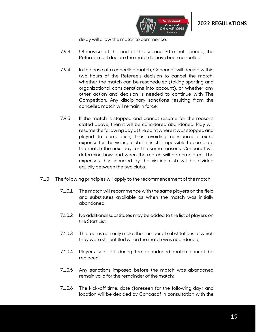

delay will allow the match to commence;

- 7.9.3 Otherwise, at the end of this second 30-minute period, the Referee must declare the match to have been cancelled;
- 7.9.4 In the case of a cancelled match, Concacaf will decide within two hours of the Referee's decision to cancel the match, whether the match can be rescheduled (taking sporting and organizational considerations into account), or whether any other action and decision is needed to continue with The Competition. Any disciplinary sanctions resulting from the cancelled match will remain in force;
- 7.9.5 If the match is stopped and cannot resume for the reasons stated above, then it will be considered abandoned. Play will resume the following day at the point where it was stopped and played to completion, thus avoiding considerable extra expense for the visiting club. If it is still impossible to complete the match the next day for the same reasons, Concacaf will determine how and when the match will be completed. The expenses thus incurred by the visiting club will be divided equally between the two clubs.
- 7.10 The following principles will apply to the recommencement of the match:
	- 7.10.1 The match will recommence with the same players on the field and substitutes available as when the match was initially abandoned;
	- 7.10.2 No additional substitutes may be added to the list of players on the Start List;
	- 7.10.3 The teams can only make the number of substitutions to which they were still entitled when the match was abandoned;
	- 7.10.4 Players sent off during the abandoned match cannot be replaced;
	- 7.10.5 Any sanctions imposed before the match was abandoned remain valid for the remainder of the match;
	- 7.10.6 The kick-off time, date (foreseen for the following day) and location will be decided by Concacaf in consultation with the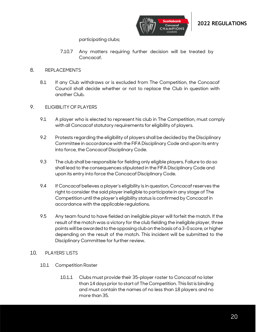

participating clubs;

7.10.7 Any matters requiring further decision will be treated by Concacaf.

#### <span id="page-19-0"></span>8. REPLACEMENTS

8.1 If any Club withdraws or is excluded from The Competition, the Concacaf Council shall decide whether or not to replace the Club in question with another Club.

#### <span id="page-19-1"></span>9. ELIGIBILITY OF PLAYERS

- 9.1 A player who is elected to represent his club in The Competition, must comply with all Concacaf statutory requirements for eligibility of players.
- 9.2 Protests regarding the eligibility of players shall be decided by the Disciplinary Committee in accordance with the FIFA Disciplinary Code and upon its entry into force, the Concacaf Disciplinary Code.
- 9.3 The club shall be responsible for fielding only eligible players. Failure to do so shall lead to the consequences stipulated in the FIFA Disciplinary Code and upon its entry into force the Concacaf Disciplinary Code.
- 9.4 If Concacaf believes a player's eligibility is in question, Concacaf reserves the right to consider the said player ineligible to participate in any stage of The Competition until the player's eligibility status is confirmed by Concacaf in accordance with the applicable regulations.
- 9.5 Any team found to have fielded an ineligible player will forfeit the match. If the result of the match was a victory for the club fielding the ineligible player, three points will be awarded to the opposing club on the basis of a 3-0 score, or higher depending on the result of the match. This incident will be submitted to the Disciplinary Committee for further review.

#### <span id="page-19-2"></span>10. PLAYERS' LISTS

- 10.1 Competition Roster
	- 10.1.1 Clubs must provide their 35-player roster to Concacaf no later than 14 days prior to start of The Competition. This list is binding and must contain the names of no less than 18 players and no more than 35.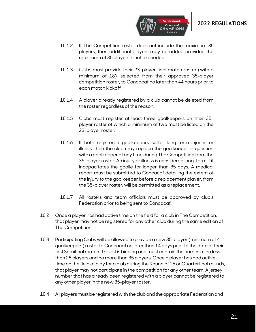



**HAMPIONS:** 

- 10.1.3 Clubs must provide their 23-player final match roster (with a minimum of 18), selected from their approved 35-player competition roster, to Concacaf no later than 44 hours prior to each match kickoff.
- 10.1.4 A player already registered by a club cannot be deleted from the roster regardless of the reason.
- 10.1.5 Clubs must register at least three goalkeepers on their 35 player roster of which a minimum of two must be listed on the 23-player roster.
- 10.1.6 If both registered goalkeepers suffer long-term injuries or illness, then the club may replace the goalkeeper in question with a goalkeeper at any time during The Competition from the 35-player roster. An injury or illness is considered long-term if it incapacitates the goalie for longer than 35 days. A medical report must be submitted to Concacaf detailing the extent of the injury to the goalkeeper before a replacement player, from the 35-player roster, will be permitted as a replacement.
- 10.1.7 All rosters and team officials must be approved by club's Federation prior to being sent to Concacaf.
- 10.2 Once a player has had active time on the field for a club in The Competition, that player may not be registered for any other club during the same edition of The Competition.
- 10.3 Participating Clubs will be allowed to provide a new 35-player (minimum of 4 goalkeepers) roster to Concacaf no later than 14 days prior to the date of their first Semifinal match. This list is binding and must contain the names of no less than 25 players and no more than 35 players. Once a player has had active time on the field of play for a club during the Round of 16 or Quarterfinal rounds, that player may not participate in the competition for any other team. A jersey number that has already been registered with a player cannot be registered to any other player in the new 35-player roster.
- 10.4 All players must be registered with the club and the appropriate Federationand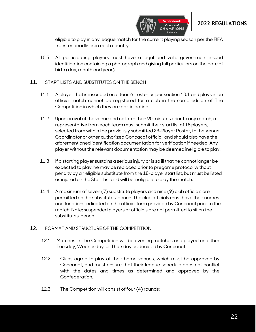

eligible to play in any league match for the current playing season per the FIFA transfer deadlines in each country.

10.5 All participating players must have a legal and valid government issued identification containing a photograph and giving full particulars on the date of birth (day, month and year).

#### <span id="page-21-0"></span>11. START LISTS AND SUBSTITUTES ON THE BENCH

- 11.1 A player that is inscribed on a team's roster as per section 10.1 and plays in an official match cannot be registered for a club in the same edition of The Competition in which they are participating.
- 11.2 Upon arrival at the venue and no later than 90 minutes prior to any match, a representative from each team must submit their start list of 18 players, selected from within the previously submitted 23-Player Roster, to the Venue Coordinator or other authorized Concacaf official, and should also have the aforementioned identification documentation for verification if needed. Any player without the relevant documentation may be deemed ineligible to play.
- 11.3 If a starting player sustains a serious injury or is so ill that he cannot longer be expected to play, he may be replaced prior to pregame protocol without penalty by an eligible substitute from the 18-player start list, but must be listed as injured on the Start List and will be ineligible to play the match.
- 11.4 A maximum of seven (7) substitute players and nine (9) club officials are permitted on the substitutes' bench. The club officials must have their names and functions indicated on the official form provided by Concacaf prior to the match. Note: suspended players or officials are not permitted to sit on the substitutes' bench.

#### <span id="page-21-1"></span>12. FORMAT AND STRUCTURE OF THE COMPETITION

- 12.1 Matches in The Competition will be evening matches and played on either Tuesday, Wednesday, or Thursday as decided by Concacaf.
- 12.2 Clubs agree to play at their home venues, which must be approved by Concacaf, and must ensure that their league schedule does not conflict with the dates and times as determined and approved by the Confederation.
- 12.3 The Competition will consist of four (4) rounds: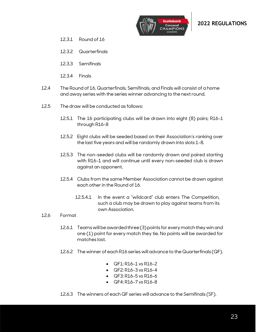

- 12.3.1 Round of 16
- 12.3.2 Quarterfinals
- 12.3.3 Semifinals
- 12.3.4 Finals
- 12.4 The Round of 16, Quarterfinals, Semifinals, and Finals will consist of a home and away series with the series winner advancing to the next round.
- 12.5 The draw will be conducted as follows:
	- 12.5.1 The 16 participating clubs will be drawn into eight (8) pairs; R16-1 through R16-8
	- 12.5.2 Eight clubs will be seeded based on their Association's ranking over the last five years and will be randomly drawn into slots 1-8.
	- 12.5.3 The non-seeded clubs will be randomly drawn and paired starting with R16-1 and will continue until every non-seeded club is drawn against an opponent.
	- 12.5.4 Clubs from the same Member Association cannot be drawn against each otherin the Round of 16.
		- 12.5.4.1 In the event a "wildcard" club enters The Competition, such a club may be drawn to play against teams from its own Association.
- 12.6 Format
	- 12.6.1 Teams will be awarded three(3)points for every match they win and one (1) point for every match they tie. No points will be awarded for matches lost.
	- 12.6.2 The winner of each R16 series will advance to the Quarterfinals (QF).
		- QF1: R16-1 vs R16-2
		- QF2: R16-3 vs R16-4
		- **QF3: R16-5 vs R16-6**
		- QF4: R16-7 vs R16-8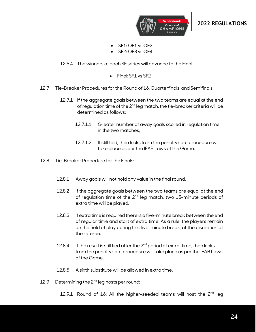

- $SF1: QF1$  vs  $QF2$
- $SF2: QF3$  vs  $QF4$
- 12.6.4 The winners of each SF series will advance to the Final.
	- Final: SF1 vs SF2
- 12.7 Tie-Breaker Procedures for the Round of 16, Quarterfinals, and Semifinals:
	- 12.7.1 If the aggregate goals between the two teams are equal at the end of regulation time of the 2<sup>nd</sup> leg match, the tie-breaker criteria will be determined as follows:
		- 12.7.1.1 Greater number of away goals scored in regulation time in the two matches;
		- 12.7.1.2 If still tied, then kicks from the penalty spot procedure will take place as per the IFAB Laws of the Game.
- 12.8 Tie-Breaker Procedure for the Finals:
	- 12.8.1 Away goals will not hold any value in the final round.
	- 12.8.2 If the aggregate goals between the two teams are equal at the end of regulation time of the 2<sup>nd</sup> leg match, two 15-minute periods of extra time will be played.
	- 12.8.3 If extra time is required there is a five-minute break between the end of regular time and start of extra time. As a rule, the players remain on the field of play during this five-minute break, at the discretion of the referee.
	- 12.8.4 If the result is still tied after the  $2^{nd}$  period of extra-time, then kicks from the penalty spot procedure will take place as per the IFAB Laws of the Game.
	- 12.8.5 A sixth substitute will be allowed in extra time.
- 12.9 Determining the 2<sup>nd</sup> leg hosts per round:
	- 12.9.1 Round of 16: All the higher-seeded teams will host the  $2<sup>nd</sup>$  leg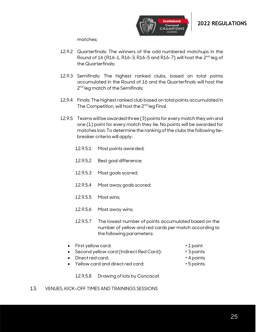



matches;

- 12.9.2 Quarterfinals: The winners of the odd numbered matchups in the Round of 16 (R16-1, R16-3, R16-5 and R16-7) will host the 2<sup>nd</sup> leg of the Quarterfinals;
- 12.9.3 Semifinals: The highest ranked clubs, based on total points accumulated in the Round of 16 and the Quarterfinals will host the 2<sup>nd</sup> leg match of the Semifinals;
- 12.9.4 Finals: The highest ranked club based on total points accumulated in The Competition, will host the 2<sup>nd</sup> leg Final.
- 12.9.5 Teams will be awarded three(3)points for every match they win and one (1) point for every match they tie. No points will be awarded for matches lost. To determine the ranking of the clubs the following tiebreaker criteria will apply:
	- 12.9.5.1 Most points awarded;
	- 12.9.5.2 Best goal difference;
	- 12.9.5.3 Most goals scored;
	- 12.9.5.4 Most away goals scored;
	- 12.9.5.5 Most wins;
	- 12.9.5.6 Most away wins;
	- 12.9.5.7 The lowest number of points accumulated based on the number of yellow and red cards per match according to the following parameters:
	- First yellow card:  $+1$  point
	- Second yellow card (Indirect Red Card): +3 points

12.9.5.8 Drawing of lots by Concacaf.

- Direct red card:  $+ 4$  points
	- Yellow card and direct red card: + 5 points
- 
- 
- -
- <span id="page-24-0"></span>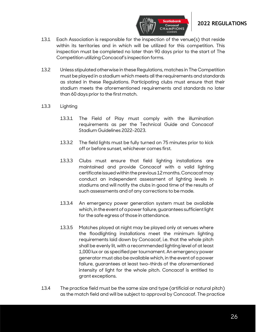

- 13.1 Each Association is responsible for the inspection of the venue(s) that reside within its territories and in which will be utilized for this competition. This inspection must be completed no later than 90 days prior to the start of The Competition utilizing Concacaf's inspection forms.
- 13.2 Unless stipulated otherwise in these Regulations, matches in The Competition must be played in a stadium which meets all the requirements and standards as stated in these Regulations. Participating clubs must ensure that their stadium meets the aforementioned requirements and standards no later than 60 days prior to the first match.
- 13.3 Lighting
	- 13.3.1 The Field of Play must comply with the illumination requirements as per the Technical Guide and Concacaf Stadium Guidelines 2022-2023.
	- 13.3.2 The field lights must be fully turned on 75 minutes prior to kick off or before sunset, whichever comes first.
	- 13.3.3 Clubs must ensure that field lighting installations are maintained and provide Concacaf with a valid lighting certificate issued within the previous 12 months. Concacaf may conduct an independent assessment of lighting levels in stadiums and will notify the clubs in good time of the results of such assessments and of any corrections to be made.
	- 13.3.4 An emergency power generation system must be available which, in the event of a power failure, guarantees sufficient light for the safe egress of those in attendance.
	- 13.3.5 Matches played at night may be played only at venues where the floodlighting installations meet the minimum lighting requirements laid down by Concacaf, i.e. that the whole pitch shall be evenly lit, with a recommended lighting level of at least 1,000 lux or as specified per tournament. An emergency power generator must also be available which, in the event of a power failure, guarantees at least two-thirds of the aforementioned intensity of light for the whole pitch. Concacaf is entitled to grant exceptions.
- 13.4 The practice field must be the same size and type (artificial or natural pitch) as the match field and will be subject to approval by Concacaf. The practice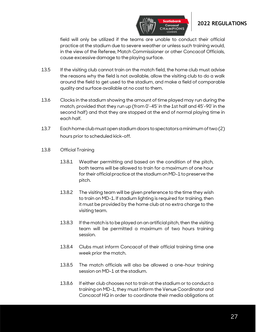

field will only be utilized if the teams are unable to conduct their official practice at the stadium due to severe weather or unless such training would, in the view of the Referee, Match Commissioner or other Concacaf Officials, cause excessive damage to the playing surface.

- 13.5 If the visiting club cannot train on the match field, the home club must advise the reasons why the field is not available, allow the visiting club to do a walk around the field to get used to the stadium, and make a field of comparable quality and surface available at no cost to them.
- 13.6 Clocks in the stadium showing the amount of time played may run during the match, provided that they run up (from 0'-45' in the 1st half and 45'-90' in the second half) and that they are stopped at the end of normal playing time in each half.
- 13.7 Each home club must open stadium doors to spectators a minimum of two (2) hours prior to scheduled kick-off.
- 13.8 Official Training
	- 13.8.1 Weather permitting and based on the condition of the pitch, both teams will be allowed to train for a maximum of one hour for their official practice at the stadium on MD-1 to preserve the pitch.
	- 13.8.2 The visiting team will be given preference to the time they wish to train on MD-1. If stadium lighting is required for training, then it must be provided by the home club at no extra charge to the visiting team.
	- 13.8.3 If the match is to be played on an artificial pitch, then the visiting team will be permitted a maximum of two hours training session.
	- 13.8.4 Clubs must inform Concacaf of their official training time one week prior the match.
	- 13.8.5 The match officials will also be allowed a one-hour training session on MD-1 at the stadium.
	- 13.8.6 If either club chooses not to train at the stadium or to conduct a training on MD-1, they must inform the Venue Coordinator and Concacaf HQ in order to coordinate their media obligations at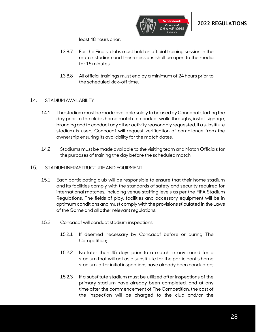

least 48 hours prior.

- 13.8.7 For the Finals, clubs must hold an official training session in the match stadium and these sessions shall be open to the media for 15 minutes.
- 13.8.8 All official trainings must end by a minimum of 24 hours prior to the scheduled kick-off time.

#### <span id="page-27-0"></span>14. STADIUM AVAILABILTY

- 14.1 The stadium must be made available solely to be used by Concacaf starting the day prior to the club's home match to conduct walk-throughs, install signage, branding and to conduct any other activity reasonably requested. If a substitute stadium is used, Concacaf will request verification of compliance from the ownership ensuring its availability for the match dates.
- 14.2 Stadiums must be made available to the visiting team and Match Officials for the purposes of training the day before the scheduled match.

#### <span id="page-27-1"></span>15. STADIUM INFRASTRUCTURE AND EQUIPMENT

- 15.1 Each participating club will be responsible to ensure that their home stadium and its facilities comply with the standards of safety and security required for international matches, including venue staffing levels as per the FIFA Stadium Regulations. The fields of play, facilities and accessory equipment will be in optimum conditions and must comply with the provisions stipulated in the Laws of the Game and all other relevant regulations.
- 15.2 Concacaf will conduct stadium inspections:
	- 15.2.1 If deemed necessary by Concacaf before or during The Competition;
	- 15.2.2 No later than 45 days prior to a match in any round for a stadium that will act as a substitute for the participant's home stadium, after initial inspections have already been conducted;
	- 15.2.3 If a substitute stadium must be utilized after inspections of the primary stadium have already been completed, and at any time after the commencement of The Competition, the cost of the inspection will be charged to the club and/or the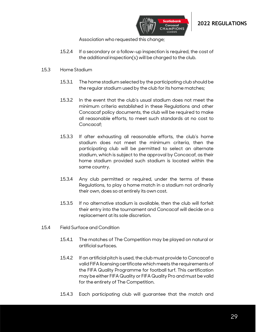



Association who requested this change;

- 15.2.4 If a secondary or a follow-up inspection is required, the cost of the additional inspection(s) will be charged to the club.
- 15.3 Home Stadium
	- 15.3.1 The home stadium selected by the participating club should be the regular stadium used by the club for its home matches;
	- 15.3.2 In the event that the club's usual stadium does not meet the minimum criteria established in these Regulations and other Concacaf policy documents, the club will be required to make all reasonable efforts, to meet such standards at no cost to Concacaf;
	- 15.3.3 If after exhausting all reasonable efforts, the club's home stadium does not meet the minimum criteria, then the participating club will be permitted to select an alternate stadium, which is subject to the approval by Concacaf, as their home stadium provided such stadium is located within the same country.
	- 15.3.4 Any club permitted or required, under the terms of these Regulations, to play a home match in a stadium not ordinarily their own, does so at entirely its own cost.
	- 15.3.5 If no alternative stadium is available, then the club will forfeit their entry into the tournament and Concacaf will decide on a replacement at its sole discretion.
- 15.4 Field Surface and Condition
	- 15.4.1 The matches of The Competition may be played on natural or artificial surfaces.
	- 15.4.2 If an artificial pitch is used, the club must provide to Concacaf a valid FIFA licensing certificate which meets the requirements of the FIFA Quality Programme for football turf. This certification may be either FIFA Quality or FIFA Quality Pro and must be valid for the entirety of The Competition.
	- 15.4.3 Each participating club will guarantee that the match and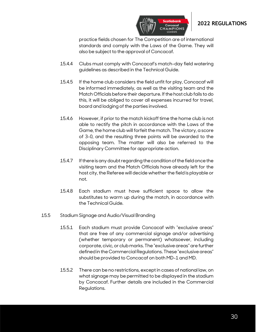

practice fields chosen for The Competition are of international standards and comply with the Laws of the Game. They will also be subject to the approval of Concacaf.

- 15.4.4 Clubs must comply with Concacaf's match-day field watering guidelines as described in the Technical Guide.
- 15.4.5 If the home club considers the field unfit for play, Concacaf will be informed immediately, as well as the visiting team and the Match Officials before their departure. If the host club fails to do this, it will be obliged to cover all expenses incurred for travel, board and lodging of the parties involved.
- 15.4.6 However, if prior to the match kickoff time the home club is not able to rectify the pitch in accordance with the Laws of the Game, the home club will forfeit the match. The victory, a score of 3-0, and the resulting three points will be awarded to the opposing team. The matter will also be referred to the Disciplinary Committee for appropriate action.
- 15.4.7 If there is any doubt regarding the condition of the field once the visiting team and the Match Officials have already left for the host city, the Referee will decide whether the field is playable or not.
- 15.4.8 Each stadium must have sufficient space to allow the substitutes to warm up during the match, in accordance with the Technical Guide.
- 15.5 Stadium Signage and Audio/Visual Branding
	- 15.5.1 Each stadium must provide Concacaf with "exclusive areas" that are free of any commercial signage and/or advertising (whether temporary or permanent) whatsoever, including corporate, civic, or club marks. The "exclusive areas" are further defined in the Commercial Regulations. These "exclusive areas" should be provided to Concacaf on both MD-1 and MD.
	- 15.5.2 There can be no restrictions, except in cases of national law, on what signage may be permitted to be displayed in the stadium by Concacaf. Further details are included in the Commercial Regulations.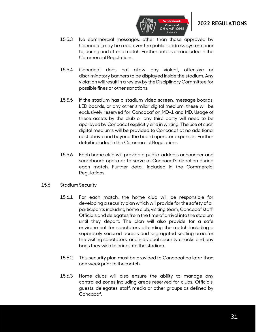

15.5.3 No commercial messages, other than those approved by Concacaf, may be read over the public-address system prior to, during and after a match. Further details are included in the Commercial Regulations.

**CHAMPIONS** 

- 15.5.4 Concacaf does not allow any violent, offensive or discriminatory banners to be displayed inside the stadium. Any violation will result in a review by the Disciplinary Committee for possible fines or other sanctions.
- 15.5.5 If the stadium has a stadium video screen, message boards, LED boards, or any other similar digital medium, these will be exclusively reserved for Concacaf on MD-1 and MD. Usage of these assets by the club or any third party will need to be approved by Concacaf explicitly and in writing. The use of such digital mediums will be provided to Concacaf at no additional cost above and beyond the board operator expenses. Further detail included in the Commercial Regulations.
- 15.5.6 Each home club will provide a public-address announcer and scoreboard operator to serve at Concacaf's direction during each match. Further detail included in the Commercial Regulations.
- 15.6 Stadium Security
	- 15.6.1 For each match, the home club will be responsible for developing a security plan which will provide for the safety of all participants including home club, visiting team, Concacaf staff, Officials and delegates from the time of arrival into the stadium until they depart. The plan will also provide for a safe environment for spectators attending the match including a separately secured access and segregated seating area for the visiting spectators, and individual security checks and any bags they wish to bring into the stadium.
	- 15.6.2 This security plan must be provided to Concacaf no later than one week prior to the match.
	- 15.6.3 Home clubs will also ensure the ability to manage any controlled zones including areas reserved for clubs, Officials, guests, delegates, staff, media or other groups as defined by Concacaf.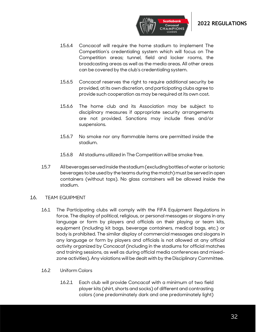

- 15.6.4 Concacaf will require the home stadium to implement The Competition's credentialing system which will focus on The Competition areas; tunnel, field and locker rooms, the broadcasting areas as well as the media areas. All other areas can be covered by the club's credentialing system.
- 15.6.5 Concacaf reserves the right to require additional security be provided, at its own discretion, and participating clubs agree to provide such cooperation as may be required at its own cost.
- 15.6.6 The home club and its Association may be subject to disciplinary measures if appropriate security arrangements are not provided. Sanctions may include fines and/or suspensions.
- 15.6.7 No smoke nor any flammable items are permitted inside the stadium.
- 15.6.8 All stadiums utilized in The Competition will be smoke free.
- 15.7 All beverages served inside the stadium (excluding bottles of water or isotonic beverages to be used by the teams during the match) must be served in open containers (without tops). No glass containers will be allowed inside the stadium.

#### <span id="page-31-0"></span>16. TEAM EQUIPMENT

- 16.1 The Participating clubs will comply with the FIFA Equipment Regulations in force. The display of political, religious, or personal messages or slogans in any language or form by players and officials on their playing or team kits, equipment (including kit bags, beverage containers, medical bags, etc.) or body is prohibited. The similar display of commercial messages and slogans in any language or form by players and officials is not allowed at any official activity organized by Concacaf (including in the stadiums for official matches and training sessions, as well as during official media conferences and mixedzone activities). Any violations will be dealt with by the Disciplinary Committee.
- 16.2 Uniform Colors
	- 16.2.1 Each club will provide Concacaf with a minimum of two field player kits (shirt, shorts and socks) of different and contrasting colors (one predominately dark and one predominately light)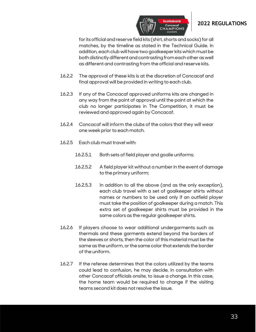

for its official and reserve field kits (shirt, shorts and socks) for all matches, by the timeline as stated in the Technical Guide. In addition, each club will have two goalkeeper kits which must be both distinctly different and contrasting from each other as well as different and contrasting from the official and reserve kits.

- 16.2.2 The approval of these kits is at the discretion of Concacaf and final approval will be provided in writing to each club.
- 16.2.3 If any of the Concacaf approved uniforms kits are changed in any way from the point of approval until the point at which the club no longer participates in The Competition, it must be reviewed and approved again by Concacaf.
- 16.2.4 Concacaf will inform the clubs of the colors that they will wear one week prior to each match.
- 16.2.5 Each club must travel with:
	- 16.2.5.1 Both sets of field player and goalie uniforms;
	- 16.2.5.2 A field player kit without a number in the event of damage to the primary uniform;
	- 16.2.5.3 In addition to all the above (and as the only exception), each club travel with a set of goalkeeper shirts without names or numbers to be used only if an outfield player must take the position of goalkeeper during a match. This extra set of goalkeeper shirts must be provided in the same colors as the regular goalkeeper shirts.
- 16.2.6 If players choose to wear additional undergarments such as thermals and these garments extend beyond the borders of the sleeves or shorts, then the color of this material must be the same as the uniform, or the same color that extends the border of the uniform.
- 16.2.7 If the referee determines that the colors utilized by the teams could lead to confusion, he may decide, in consultation with other Concacaf officials onsite, to issue a change. In this case, the home team would be required to change if the visiting teams second kit does not resolve the issue.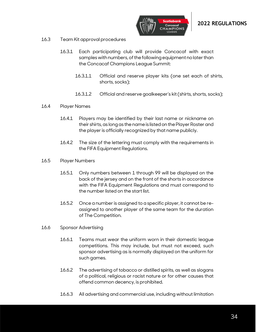

- 16.3 Team Kit approval procedures
	- 16.3.1 Each participating club will provide Concacaf with exact samples with numbers, of the following equipment no later than the Concacaf Champions League Summit:
		- 16.3.1.1 Official and reserve player kits (one set each of shirts, shorts, socks);
		- 16.3.1.2 Official and reserve goalkeeper's kit (shirts, shorts, socks);
- 16.4 Player Names
	- 16.4.1 Players may be identified by their last name or nickname on their shirts, as long as the name is listed on the Player Roster and the player is officially recognized by that name publicly.
	- 16.4.2 The size of the lettering must comply with the requirements in the FIFA Equipment Regulations.
- 16.5 Player Numbers
	- 16.5.1 Only numbers between 1 through 99 will be displayed on the back of the jersey and on the front of the shorts in accordance with the FIFA Equipment Regulations and must correspond to the number listed on the start list.
	- 16.5.2 Once a number is assigned to a specific player, it cannot be reassigned to another player of the same team for the duration of The Competition.
- 16.6 Sponsor Advertising
	- 16.6.1 Teams must wear the uniform worn in their domestic league competitions. This may include, but must not exceed, such sponsor advertising as is normally displayed on the uniform for such games.
	- 16.6.2 The advertising of tobacco or distilled spirits, as well as slogans of a political, religious or racist nature or for other causes that offend common decency, is prohibited.
	- 16.6.3 All advertising and commercial use, including without limitation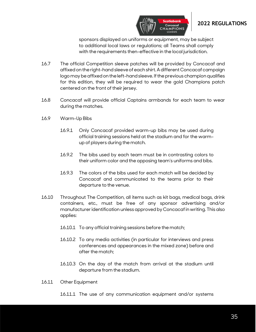

sponsors displayed on uniforms or equipment, may be subject to additional local laws or regulations; all Teams shall comply with the requirements then-effective in the local jurisdiction.

**CHAMPIONS** 

- 16.7 The official Competition sleeve patches will be provided by Concacaf and affixed on the right-hand sleeve of each shirt. A different Concacaf campaign logo may be affixed on the left-hand sleeve. If the previous champion qualifies for this edition, they will be required to wear the gold Champions patch centered on the front of their jersey.
- 16.8 Concacaf will provide official Captains armbands for each team to wear during the matches.
- 16.9 Warm-Up Bibs
	- 16.9.1 Only Concacaf provided warm-up bibs may be used during official training sessions held at the stadium and for the warmup of players during the match.
	- 16.9.2 The bibs used by each team must be in contrasting colors to their uniform color and the opposing team's uniforms and bibs.
	- 16.9.3 The colors of the bibs used for each match will be decided by Concacaf and communicated to the teams prior to their departure to the venue.
- 16.10 Throughout The Competition, all items such as kit bags, medical bags, drink containers, etc., must be free of any sponsor advertising and/or manufacturer identification unless approved by Concacaf in writing. This also applies:
	- 16.10.1 To any official training sessions before the match;
	- 16.10.2 To any media activities (in particular for interviews and press conferences and appearances in the mixed zone) before and after the match;
	- 16.10.3 On the day of the match from arrival at the stadium until departure from the stadium.
- 16.11 Other Equipment
	- 16.11.1 The use of any communication equipment and/or systems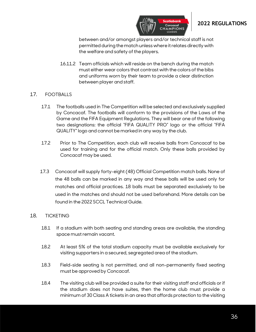

between and/or amongst players and/or technical staff is not permitted during the match unless where it relates directly with the welfare and safety of the players.

**CHAMPIONS** 

16.11.2 Team officials which will reside on the bench during the match must either wear colors that contrast with the colors of the bibs and uniforms worn by their team to provide a clear distinction between player and staff.

#### <span id="page-35-0"></span>17. FOOTBALLS

- 17.1 The footballs used in The Competition will be selected and exclusively supplied by Concacaf. The footballs will conform to the provisions of the Laws of the Game and the FIFA Equipment Regulations. They will bear one of the following two designations: the official "FIFA QUALITY PRO" logo or the official "FIFA QUALITY" logo and cannot be marked in any way by the club.
- 17.2 Prior to The Competition, each club will receive balls from Concacaf to be used for training and for the official match. Only these balls provided by Concacaf may be used.
- 17.3 Concacaf will supply forty-eight (48) Official Competition match balls. None of the 48 balls can be marked in any way and these balls will be used only for matches and official practices. 18 balls must be separated exclusively to be used in the matches and should not be used beforehand. More details can be found in the 2022 SCCL Technical Guide.

#### <span id="page-35-1"></span>18. TICKETING

- 18.1 If a stadium with both seating and standing areas are available, the standing space must remain vacant.
- 18.2 At least 5% of the total stadium capacity must be available exclusively for visiting supporters in a secured, segregated area of the stadium.
- 18.3 Field-side seating is not permitted, and all non-permanently fixed seating must be approved by Concacaf.
- 18.4 The visiting club will be provided a suite for their visiting staff and officials or if the stadium does not have suites, then the home club must provide a minimum of 30 Class A tickets in an area that affords protection to the visiting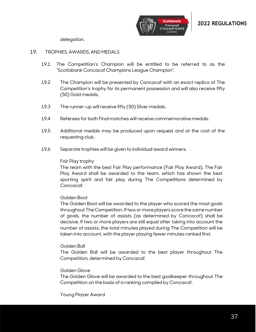

delegation.

#### <span id="page-36-0"></span>19. TROPHIES, AWARDS, AND MEDALS

- 19.1 The Competition's Champion will be entitled to be referred to as the "Scotiabank Concacaf Champions League Champion".
- 19.2 The Champion will be presented by Concacaf with an exact replica of The Competition's trophy for its permanent possession and will also receive fifty (50) Gold medals.
- 19.3 The runner-up will receive fifty (50) Silver medals.
- 19.4 Referees for both Final matches will receive commemorative medals.
- 19.5 Additional medals may be produced upon request and at the cost of the requesting club.
- 19.6 Separate trophies will be given to individual award winners.

#### Fair Play trophy

The team with the best Fair Play performance (Fair Play Award). The Fair Play Award shall be awarded to the team, which has shown the best sporting spirit and fair play during The Competitions determined by Concacaf.

#### Golden Boot

The Golden Boot will be awarded to the player who scored the most goals throughout The Competition. If two or more players score the same number of goals, the number of assists (as determined by Concacaf) shall be decisive. If two or more players are still equal after taking into account the number of assists, the total minutes played during The Competition will be taken into account, with the player playing fewer minutes ranked first.

#### Golden Ball

The Golden Ball will be awarded to the best player throughout The Competition, determined by Concacaf.

#### Golden Glove

The Golden Glove will be awarded to the best goalkeeper throughout The Competition on the basis of a ranking compiled by Concacaf.

#### Young Player Award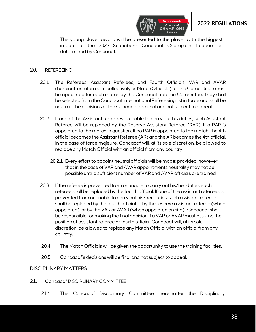

The young player award will be presented to the player with the biggest impact at the 2022 Scotiabank Concacaf Champions League, as determined by Concacaf.

#### <span id="page-37-0"></span>20. REFEREEING

- 20.1 The Referees, Assistant Referees, and Fourth Officials, VAR and AVAR (hereinafter referred to collectively as Match Officials) for the Competition must be appointed for each match by the Concacaf Referee Committee. They shall be selected from the Concacaf International Refereeing list in force and shall be neutral. The decisions of the Concacaf are final and not subject to appeal.
- 20.2 If one of the Assistant Referees is unable to carry out his duties, such Assistant Referee will be replaced by the Reserve Assistant Referee (RAR), if a RAR is appointed to the match in question. If no RAR is appointed to the match, the 4th official becomes the Assistant Referee (AR) and the AR becomes the 4th official. In the case of force majeure, Concacaf will, at its sole discretion, be allowed to replace any Match Official with an official from any country.
	- 20.2.1 Every effort to appoint neutral officials will be made; provided, however, that in the case of VAR and AVAR appointments neutrality may not be possible until a sufficient number of VAR and AVAR officials are trained.
- 20.3 If the referee is prevented from or unable to carry out his/her duties, such referee shall be replaced by the fourth official. If one of the assistant referees is prevented from or unable to carry out his/her duties, such assistant referee shall be replaced by the fourth official or by the reserve assistant referee (when appointed), or by the VAR or AVAR (when appointed on site). Concacaf shall be responsible for making the final decision if a VAR or AVAR must assume the position of assistant referee or fourth official. Concacaf will, at its sole discretion, be allowed to replace any Match Official with an official from any country.
- 20.4 The Match Officials will be given the opportunity to use the training facilities.
- 20.5 Concacaf's decisions will be final and not subject to appeal.

#### <span id="page-37-1"></span>DISCIPLINARY MATTERS

- <span id="page-37-2"></span>21. Concacaf DISCIPLINARY COMMITTEE
	- 21.1 The Concacaf Disciplinary Committee, hereinafter the Disciplinary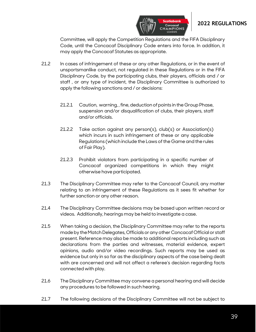

Committee, will apply the Competition Regulations and the FIFA Disciplinary Code, until the Concacaf Disciplinary Code enters into force. In addition, it may apply the Concacaf Statutes as appropriate.

**CHAMPION:** 

- 21.2 In cases of infringement of these or any other Regulations, or in the event of unsportsmanlike conduct, not regulated in these Regulations or in the FIFA Disciplinary Code, by the participating clubs, their players, officials and / or staff , or any type of incident, the Disciplinary Committee is authorized to apply the following sanctions and / or decisions:
	- 21.2.1 Caution, warning, , fine, deduction of points in the Group Phase, suspension and/or disqualification of clubs, their players, staff and/or officials.
	- 21.2.2 Take action against any person(s), club(s) or Association(s) which incurs in such infringement of these or any applicable Regulations (which include the Laws of the Game and the rules of Fair Play).
	- 21.2.3 Prohibit violators from participating in a specific number of Concacaf organized competitions in which they might otherwise have participated.
- 21.3 The Disciplinary Committee may refer to the Concacaf Council, any matter relating to an infringement of these Regulations as it sees fit whether for further sanction or any other reason.
- 21.4 The Disciplinary Committee decisions may be based upon written record or videos. Additionally, hearings may be held to investigate a case.
- 21.5 When taking a decision, the Disciplinary Committee may refer to the reports made by the Match Delegates, Officials or any other Concacaf Official or staff present. Reference may also be made to additional reports including such as declarations from the parties and witnesses, material evidence, expert opinions, audio and/or video recordings. Such reports may be used as evidence but only in so far as the disciplinary aspects of the case being dealt with are concerned and will not affect a referee's decision regarding facts connected with play.
- 21.6 The Disciplinary Committee may convene a personal hearing and will decide any procedures to be followed in such hearing.
- 21.7 The following decisions of the Disciplinary Committee will not be subject to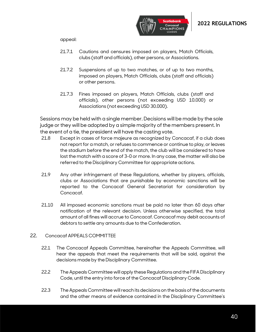

appeal:

- 21.7.1 Cautions and censures imposed on players, Match Officials, clubs (staff and officials), other persons, or Associations.
- 21.7.2 Suspensions of up to two matches, or of up to two months, imposed on players, Match Officials, clubs (staff and officials) or other persons.
- 21.7.3 Fines imposed on players, Match Officials, clubs (staff and officials), other persons (not exceeding USD 10.000) or Associations (not exceeding USD 30.000).

Sessions may be held with a single member. Decisions will be made by the sole judge or they will be adopted by a simple majority of the members present. In the event of a tie, the president will have the casting vote.

- 21.8 Except in cases of force majeure as recognized by Concacaf, if a club does not report for a match, or refuses to commence or continue to play, or leaves the stadium before the end of the match, the club will be considered to have lost the match with a score of 3-0 or more. In any case, the matter will also be referred to the Disciplinary Committee for appropriate actions.
- 21.9 Any other infringement of these Regulations, whether by players, officials, clubs or Associations that are punishable by economic sanctions will be reported to the Concacaf General Secretariat for consideration by Concacaf.
- 21.10 All imposed economic sanctions must be paid no later than 60 days after notification of the relevant decision. Unless otherwise specified, the total amount of all fines will accrue to Concacaf. Concacaf may debit accounts of debtors to settle any amounts due to the Confederation.

#### <span id="page-39-0"></span>22. Concacaf APPEALS COMMITTEE

- 22.1 The Concacaf Appeals Committee, hereinafter the Appeals Committee, will hear the appeals that meet the requirements that will be said, against the decisions made by the Disciplinary Committee.
- 22.2 The Appeals Committee will apply these Regulations and the FIFA Disciplinary Code, until the entry into force of the Concacaf Disciplinary Code.
- 22.3 The Appeals Committee will reach its decisions on the basis of the documents and the other means of evidence contained in the Disciplinary Committee's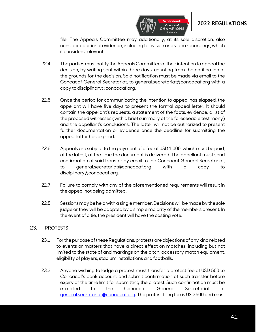



**CHAMPIONS** 

- 22.4 The parties must notify the Appeals Committee of their intention to appeal the decision, by writing sent within three days, counting from the notification of the grounds for the decision. Said notification must be made via email to the Concacaf General Secretariat, to general.secretariat@concacaf.org with a copy to disciplinary@concacaf.org.
- 22.5 Once the period for communicating the intention to appeal has elapsed, the appellant will have five days to present the formal appeal letter. It should contain the appellant's requests, a statement of the facts, evidence, a list of the proposed witnesses (with a brief summary of the foreseeable testimony) and the appellant's conclusions. The latter will not be authorized to present further documentation or evidence once the deadline for submitting the appeal letter has expired.
- 22.6 Appeals are subject to the payment of a fee of USD 1,000, which must be paid, at the latest, at the time the document is delivered. The appellant must send confirmation of said transfer by email to the Concacaf General Secretariat, to general.secretariat@concacaf.org with a copy to disciplinary@concacaf.org.
- 22.7 Failure to comply with any of the aforementioned requirements will result in the appeal not being admitted.
- 22.8 Sessions may be held with a single member. Decisions will be made by the sole judge or they will be adopted by a simple majority of the members present. In the event of a tie, the president will have the casting vote.

#### <span id="page-40-0"></span>23. PROTESTS

- 23.1 For the purpose of these Regulations, protests are objections of any kind related to events or matters that have a direct effect on matches, including but not limited to the state of and markings on the pitch, accessory match equipment, eligibility of players, stadium installations and footballs.
- 23.2 Anyone wishing to lodge a protest must transfer a protest fee of USD 500 to Concacaf's bank account and submit confirmation of such transfer before expiry of the time limit for submitting the protest. Such confirmation must be e-mailed to the Concacaf General Secretariat [general.secretariat@concacaf.org.](mailto:general.secretariat@concacaf.org) The protest filing fee is USD 500 and must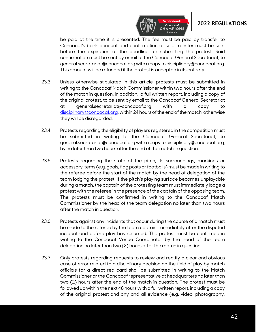

be paid at the time it is presented. The fee must be paid by transfer to Concacaf's bank account and confirmation of said transfer must be sent before the expiration of the deadline for submitting the protest. Said confirmation must be sent by email to the Concacaf General Secretariat, to general.secretariat@concacaf.org with a copy to disciplinary@concacaf.org. This amount will be refunded if the protest is accepted in its entirety.

- 23.3 Unless otherwise stipulated in this article, protests must be submitted in writing to the Concacaf Match Commissioner within two hours after the end of the match in question. In addition, a full written report, including a copy of the original protest, to be sent by email to the Concacaf General Secretariat at general.secretariat@concacaf.org with a copy to [disciplinary@concacaf.org,](mailto:disciplinary@concacaf.org) within 24 hours of the end of the match, otherwise they will be disregarded.
- 23.4 Protests regarding the eligibility of players registered in the competition must be submitted in writing to the Concacaf General Secretariat, to general.secretariat@concacaf.org with a copy to disciplinary@concacaf.org, by no later than two hours after the end of the match in question.
- 23.5 Protests regarding the state of the pitch, its surroundings, markings or accessory items (e.g. goals, flag posts or footballs) must be made in writing to the referee before the start of the match by the head of delegation of the team lodging the protest. If the pitch's playing surface becomes unplayable during a match, the captain of the protesting team must immediately lodge a protest with the referee in the presence of the captain of the opposing team. The protests must be confirmed in writing to the Concacaf Match Commissioner by the head of the team delegation no later than two hours after the match in question.
- 23.6 Protests against any incidents that occur during the course of a match must be made to the referee by the team captain immediately after the disputed incident and before play has resumed. The protest must be confirmed in writing to the Concacaf Venue Coordinator by the head of the team delegation no later than two (2) hours after the match in question.
- 23.7 Only protests regarding requests to review and rectify a clear and obvious case of error related to a disciplinary decision on the field of play by match officials for a direct red card shall be submitted in writing to the Match Commissioner or the Concacaf representative at headquarters no later than two (2) hours after the end of the match in question. The protest must be followed up within the next 48 hours with a full written report, including a copy of the original protest and any and all evidence (e.g. video, photography,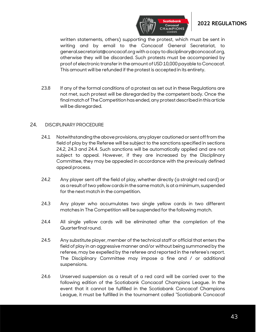

written statements, others) supporting the protest, which must be sent in writing and by email to the Concacaf General Secretariat, to general.secretariat@concacaf.org with a copy to disciplinary@concacaf.org, otherwise they will be discarded. Such protests must be accompanied by proof of electronic transfer in the amount of USD 10,000 payable to Concacaf. This amount will be refunded if the protest is accepted in its entirety.

23.8 If any of the formal conditions of a protest as set out in these Regulations are not met, such protest will be disregarded by the competent body. Once the final match of The Competitionhas ended, any protest described in this article will be disregarded.

#### <span id="page-42-0"></span>24. DISCIPLINARY PROCEDURE

- 24.1 Notwithstanding the above provisions, any player cautioned or sent off from the field of play by the Referee will be subject to the sanctions specified in sections 24.2, 24.3 and 24.4. Such sanctions will be automatically applied and are not subject to appeal. However, if they are increased by the Disciplinary Committee, they may be appealed in accordance with the previously defined appeal process.
- 24.2 Any player sent off the field of play, whether directly (a straight red card) or as a result of two yellow cards in the same match, is at a minimum, suspended for the next match in the competition.
- 24.3 Any player who accumulates two single yellow cards in two different matches in The Competition will be suspended for the following match.
- 24.4 All single yellow cards will be eliminated after the completion of the Quarterfinal round.
- 24.5 Any substitute player, member of the technical staff or official that enters the field of play in an aggressive manner and/or without being summoned by the referee, may be expelled by the referee and reported in the referee's report. The Disciplinary Committee may impose a fine and / or additional suspensions.
- 24.6 Unserved suspension as a result of a red card will be carried over to the following edition of the Scotiabank Concacaf Champions League. In the event that it cannot be fulfilled in the Scotiabank Concacaf Champions League, it must be fulfilled in the tournament called "Scotiabank Concacaf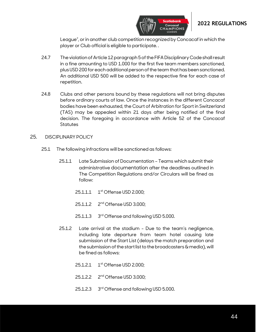



League", or in another club competition recognized by Concacaf in which the player or Club official is eligible to participate. .

- 24.7 The violation of Article 12 paragraph5of the FIFA Disciplinary Code shall result in a fine amounting to USD 1.000 for the first five team members sanctioned, plus USD 200 for each additional person of the team that has been sanctioned. An additional USD 500 will be added to the respective fine for each case of repetition.
- 24.8 Clubs and other persons bound by these regulations will not bring disputes before ordinary courts of law. Once the instances in the different Concacaf bodies have been exhausted, the Court of Arbitration for Sport in Switzerland (TAS) may be appealed within 21 days after being notified of the final decision. The foregoing in accordance with Article 52 of the Concacaf **Statutes**
- <span id="page-43-0"></span>25. DISCIPLINARY POLICY
	- 25.1 The following infractions will be sanctioned as follows:
		- 25.1.1 Late Submission of Documentation Teams which submit their administrative documentation after the deadlines outlined in The Competition Regulations and/or Circulars will be fined as follow:
			- 25.1.1.1 1 st Offense USD 2.000;
			- 25.1.1.2 2<sup>nd</sup> Offense USD 3.000;
			- $25.1.1.3$ 3<sup>rd</sup> Offense and following USD 5.000.
		- 25.1.2 Late arrival at the stadium Due to the team's negligence, including late departure from team hotel causing late submission of the Start List (delays the match preparation and the submission of the start list to the broadcasters & media), will be fined as follows:
			- 25.1.2.1 1<sup>st</sup> Offense USD 2.000;
			- 25.1.2.2 2<sup>nd</sup> Offense USD 3.000;
			- $25.1.2.3$ 3<sup>rd</sup> Offense and following USD 5.000.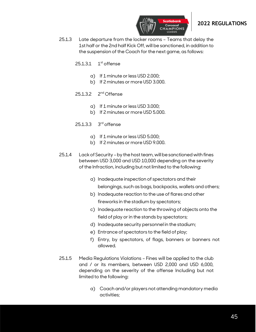

- 25.1.3 Late departure from the locker rooms Teams that delay the 1st half or the 2nd half Kick Off, will be sanctioned, in addition to the suspension of the Coach for the next game, as follows:
	- $25.1.3.1$  $1<sup>st</sup>$  offense
		- a) If 1 minute or less USD 2.000;
		- b) If 2 minutes or more USD 3.000.
	- 25.1.3.2 2<sup>nd</sup> Offense
		- a) If 1 minute or less USD 3.000;
		- b) If 2 minutes or more USD 5.000.
	- 25.1.3.3 3<sup>rd</sup> offense
		- a) If 1 minute or less USD 5.000;
		- b) If 2 minutes or more USD 9.000.
- 25.1.4 Lack of Security –by the host team, will be sanctioned with fines between USD 3,000 and USD 10,000 depending on the severity of the Infraction, including but not limited to the following:
	- a) Inadequate inspection of spectators and their belongings, such as bags, backpacks, wallets and others;
	- b) Inadequate reaction to the use of flares and other fireworks in the stadium by spectators;
	- c) Inadequate reaction to the throwing of objects onto the field of play or in the stands by spectators;
	- d) Inadequate security personnel in the stadium;
	- e) Entrance of spectators to the field of play;
	- f) Entry, by spectators, of flags, banners or banners not allowed.
- 25.1.5 Media Regulations Violations Fines will be applied to the club and / or its members, between USD 2,000 and USD 6,000, depending on the severity of the offense Including but not limited to the following:
	- a) Coach and/or players not attending mandatory media activities;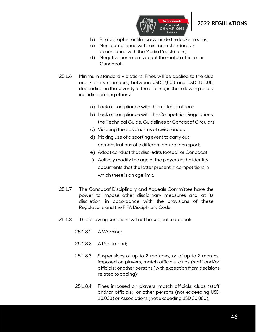

- b) Photographer or film crew inside the locker rooms;
- c) Non-compliance with minimum standards in accordance with the Media Regulations;
- d) Negative comments about the match officials or Concacaf.
- 25.1.6 Minimum standard Violations: Fines will be applied to the club and / or its members, between USD 2,000 and USD 10,000, depending on the severity of the offense, in the following cases, including among others:
	- a) Lack of compliance with the match protocol;
	- b) Lack of compliance with the Competition Regulations, the Technical Guide, Guidelines or Concacaf Circulars.
	- c) Violating the basic norms of civic conduct;
	- d) Making use of a sporting event to carry out demonstrations of a different nature than sport;
	- e) Adopt conduct that discredits football or Concacaf;
	- f) Actively modify the age of the players in the identity documents that the latter present in competitions in which there is an age limit.
- 25.1.7 The Concacaf Disciplinary and Appeals Committee have the power to impose other disciplinary measures and, at its discretion, in accordance with the provisions of these Regulations and the FIFA Disciplinary Code.
- 25.1.8 The following sanctions will not be subject to appeal:
	- 25.1.8.1 A Warning;
	- 25.1.8.2 A Reprimand;
	- 25.1.8.3 Suspensions of up to 2 matches, or of up to 2 months, imposed on players, match officials, clubs (staff and/or officials) or other persons (with exception from decisions related to doping);
	- 25.1.8.4 Fines imposed on players, match officials, clubs (staff and/or officials), or other persons (not exceeding USD 10.000) or Associations (not exceeding USD 30.000);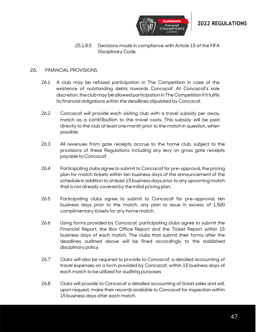

25.1.8.5 Decisions made in compliance with Article 15 of the FIFA Disciplinary Code.

#### <span id="page-46-0"></span>26. FINANCIAL PROVISIONS

- 26.1 A club may be refused participation in The Competition in case of the existence of outstanding debts towards Concacaf. At Concacaf's sole discretion, the club may be allowed participation in The Competition if it fulfils its financial obligations within the deadlines stipulated by Concacaf.
- 26.2 Concacaf will provide each visiting club with a travel subsidy per away match as a contribution to the travel costs. This subsidy will be paid directly to the club at least one month prior to the match in question, when possible.
- 26.3 All revenues from gate receipts accrue to the home club, subject to the provisions of these Regulations including any levy on gross gate receipts payable to Concacaf.
- 26.4 Participating clubs agree to submit to Concacaf for pre-approval, the pricing plan for match tickets within ten business days of the announcement of the schedule in addition to at least 15 business days prior to any upcoming match that is not already covered by the initial pricing plan.
- 26.5 Participating clubs agree to submit to Concacaf for pre-approval, ten business days prior to the match, any plan to issue in excess of 1,500 complimentary tickets for any home match.
- 26.6 Using forms provided by Concacaf, participating clubs agree to submit the Financial Report, the Box Office Report and the Ticket Report within 15 business days of each match. The clubs that submit their forms after the deadlines outlined above will be fined accordingly to the stablished disciplinary policy.
- 26.7 Clubs will also be required to provide to Concacaf, a detailed accounting of travel expenses on a form provided by Concacaf, within 15 business days of each match to be utilized for auditing purposes
- 26.8 Clubs will provide to Concacaf a detailed accounting of ticket sales and will, upon request, make their records available to Concacaf for inspection within 15 business days after each match.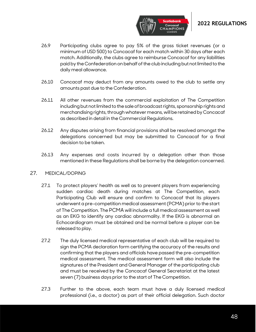

- 26.9 Participating clubs agree to pay 5% of the gross ticket revenues (or a minimum of USD 500) to Concacaf for each match within 30 days after each match. Additionally, the clubs agree to reimburse Concacaf for any liabilities paid by the Confederation on behalf of the club including but not limited to the daily meal allowance.
- 26.10 Concacaf may deduct from any amounts owed to the club to settle any amounts past due to the Confederation.
- 26.11 All other revenues from the commercial exploitation of The Competition including but not limited to the sale of broadcast rights, sponsorship rights and merchandising rights, through whatever means, will be retained by Concacaf as described in detail in the Commercial Regulations.
- 26.12 Any disputes arising from financial provisions shall be resolved amongst the delegations concerned but may be submitted to Concacaf for a final decision to be taken.
- 26.13 Any expenses and costs incurred by a delegation other than those mentioned in these Regulations shall be borne by the delegation concerned.

#### <span id="page-47-0"></span>27. MEDICAL/DOPING

- 27.1 To protect players' health as well as to prevent players from experiencing sudden cardiac death during matches at The Competition, each Participating Club will ensure and confirm to Concacaf that its players underwent a pre-competition medical assessment (PCMA) prior to the start of The Competition. The PCMA will include a full medical assessment as well as an EKG to identify any cardiac abnormality. If the EKG is abnormal an Echocardiogram must be obtained and be normal before a player can be released to play.
- 27.2 The duly licensed medical representative of each club will be required to sign the PCMA declaration form certifying the accuracy of the results and confirming that the players and officials have passed the pre-competition medical assessment. The medical assessment form will also include the signatures of the President and General Manager of the participating club and must be received by the Concacaf General Secretariat at the latest seven (7) business days prior to the start of The Competition.
- 27.3 Further to the above, each team must have a duly licensed medical professional (i.e., a doctor) as part of their official delegation. Such doctor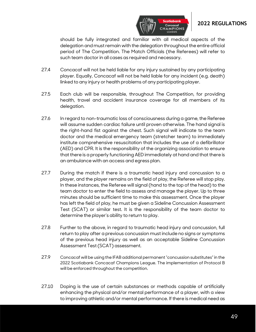

should be fully integrated and familiar with all medical aspects of the delegation and must remain with the delegation throughout the entire official period of The Competition. The Match Officials (the Referees) will refer to such team doctor in all cases as required and necessary.

- 27.4 Concacaf will not be held liable for any injury sustained by any participating player. Equally, Concacaf will not be held liable for any incident (e.g. death) linked to any injury or health problems of any participating player.
- 27.5 Each club will be responsible, throughout The Competition, for providing health, travel and accident insurance coverage for all members of its delegation.
- 27.6 In regard to non-traumatic loss of consciousness during a game, the Referee will assume sudden cardiac failure until proven otherwise. The hand signal is the right-hand fist against the chest. Such signal will indicate to the team doctor and the medical emergency team (stretcher team) to immediately institute comprehensive resuscitation that includes the use of a defibrillator (AED) and CPR. It is the responsibility of the organizing association to ensure that there is a properly functioning AED immediately at hand and that there is an ambulance with an access and egress plan.
- 27.7 During the match if there is a traumatic head injury and concussion to a player, and the player remains on the field of play, the Referee will stop play. In these instances, the Referee will signal (hand to the top of the head) to the team doctor to enter the field to assess and manage the player. Up to three minutes should be sufficient time to make this assessment. Once the player has left the field of play, he must be given a Sideline Concussion Assessment Test (SCAT) or similar test. It is the responsibility of the team doctor to determine the player's ability to return to play.
- 27.8 Further to the above, in regard to traumatic head injury and concussion, full return to play after a previous concussion must include no signs or symptoms of the previous head injury as well as an acceptable Sideline Concussion Assessment Test (SCAT) assessment.
- 27.9 Concacaf will be using the IFAB additional permanent "concussion substitutes" in the 2022 Scotiabank Concacaf Champions League. The implementation of Protocol B will be enforced throughout the competition.
- 27.10 Doping is the use of certain substances or methods capable of artificially enhancing the physical and/or mental performance of a player, with a view to improving athletic and/or mental performance. If there is medical need as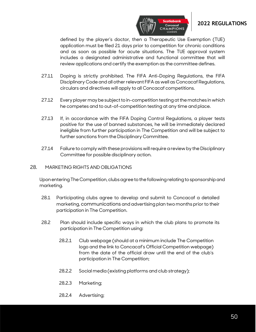

defined by the player's doctor, then a Therapeutic Use Exemption (TUE) application must be filed 21 days prior to competition for chronic conditions and as soon as possible for acute situations. The TUE approval system includes a designated administrative and functional committee that will review applications and certify the exemption as the committee defines.

- 27.11 Doping is strictly prohibited. The FIFA Anti-Doping Regulations, the FIFA Disciplinary Code and all other relevant FIFA as well as Concacaf Regulations, circulars and directives will apply to all Concacaf competitions.
- 27.12 Every player may be subject to in-competition testing at the matches in which he competes and to out-of-competition testing at any time and place.
- 27.13 If, in accordance with the FIFA Doping Control Regulations, a player tests positive for the use of banned substances, he will be immediately declared ineligible from further participation in The Competition and will be subject to further sanctions from the Disciplinary Committee.
- 27.14 Failure to comply with these provisions will require a review by the Disciplinary Committee for possible disciplinary action.

#### <span id="page-49-0"></span>28. MARKETING RIGHTS AND OBLIGATIONS

Upon entering The Competition, clubs agree to the following relating to sponsorship and marketing.

- 28.1 Participating clubs agree to develop and submit to Concacaf a detailed marketing, communications and advertising plan two months prior to their participation in The Competition.
- 28.2 Plan should include specific ways in which the club plans to promote its participation in The Competition using:
	- 28.2.1 Club webpage (should at a minimum include The Competition logo and the link to Concacaf's Official Competition webpage) from the date of the official draw until the end of the club's participation in The Competition;
	- 28.2.2 Social media (existing platforms and club strategy);
	- 28.2.3 Marketing;
	- 28.2.4 Advertising;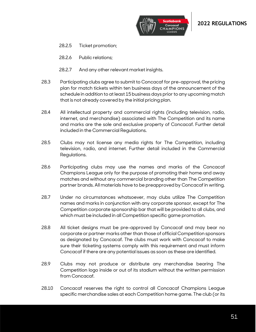

- 28.2.5 Ticket promotion;
- 28.2.6 Public relations;
- 28.2.7 And any other relevant market insights.
- 28.3 Participating clubs agree to submit to Concacaf for pre-approval, the pricing plan for match tickets within ten business days of the announcement of the schedule in addition to at least 15 business days prior to any upcoming match that is not already covered by the initial pricing plan.
- 28.4 All intellectual property and commercial rights (including television, radio, internet, and merchandise) associated with The Competition and its name and marks are the sole and exclusive property of Concacaf. Further detail included in the Commercial Regulations.
- 28.5 Clubs may not license any media rights for The Competition, including television, radio, and internet. Further detail included in the Commercial Regulations.
- 28.6 Participating clubs may use the names and marks of the Concacaf Champions League only for the purpose of promoting their home and away matches and without any commercial branding other than The Competition partner brands. All materials have to be preapproved by Concacaf in writing.
- 28.7 Under no circumstances whatsoever, may clubs utilize The Competition names and marks in conjunction with any corporate sponsor, except for The Competition corporate sponsorship bar that will be provided to all clubs, and which must be included in all Competition specific game promotion.
- 28.8 All ticket designs must be pre-approved by Concacaf and may bear no corporate or partner marks other than those of official Competition sponsors as designated by Concacaf. The clubs must work with Concacaf to make sure their ticketing systems comply with this requirement and must inform Concacaf if there are any potential issues as soon as these are identified.
- 28.9 Clubs may not produce or distribute any merchandise bearing The Competition logo inside or out of its stadium without the written permission from Concacaf.
- 28.10 Concacaf reserves the right to control all Concacaf Champions League specific merchandise sales at each Competition home game. The club (or its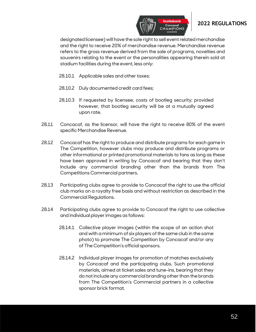

designated licensee) will have the sole right to sell event related merchandise and the right to receive 20% of merchandise revenue. Merchandise revenue refers to the gross revenue derived from the sale of programs, novelties and souvenirs relating to the event or the personalities appearing therein sold at stadium facilities during the event, less only:

- 28.10.1 Applicable sales and other taxes;
- 28.10.2 Duly documented credit card fees;
- 28.10.3 If requested by licensee, costs of bootleg security; provided however, that bootleg security will be at a mutually agreed upon rate.
- 28.11 Concacaf, as the licensor, will have the right to receive 80% of the event specific Merchandise Revenue.
- 28.12 Concacaf has the right to produce and distribute programs for each game in The Competition, however clubs may produce and distribute programs or other informational or printed promotional materials to fans as long as these have been approved in writing by Concacaf and bearing that they don't include any commercial branding other than the brands from The Competitions Commercial partners.
- 28.13 Participating clubs agree to provide to Concacaf the right to use the official club marks on a royalty free basis and without restriction as described in the Commercial Regulations.
- 28.14 Participating clubs agree to provide to Concacaf the right to use collective and individual player images as follows:
	- 28.14.1 Collective player images (within the scope of an action shot and with a minimum of six players of the same club in the same photo) to promote The Competition by Concacaf and/or any of The Competition's official sponsors.
	- 28.14.2 Individual player images for promotion of matches exclusively by Concacaf and the participating clubs. Such promotional materials, aimed at ticket sales and tune-ins, bearing that they do not include any commercial branding other than the brands from The Competition's Commercial partners in a collective sponsor brick format.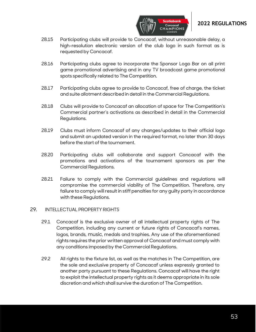

28.15 Participating clubs will provide to Concacaf, without unreasonable delay, a high-resolution electronic version of the club logo in such format as is requested by Concacaf.

**CHAMPIONS** 

- 28.16 Participating clubs agree to incorporate the Sponsor Logo Bar on all print game promotional advertising and in any TV broadcast game promotional spots specifically related to The Competition.
- 28.17 Participating clubs agree to provide to Concacaf, free of charge, the ticket and suite allotment described in detail in the Commercial Regulations.
- 28.18 Clubs will provide to Concacaf an allocation of space for The Competition's Commercial partner's activations as described in detail in the Commercial Regulations.
- 28.19 Clubs must inform Concacaf of any changes/updates to their official logo and submit an updated version in the required format, no later than 30 days before the start of the tournament.
- 28.20 Participating clubs will collaborate and support Concacaf with the promotions and activations of the tournament sponsors as per the Commercial Regulations.
- 28.21 Failure to comply with the Commercial guidelines and regulations will compromise the commercial viability of The Competition. Therefore, any failure to comply will result in stiff penalties for any guilty party in accordance with these Regulations.

#### <span id="page-52-0"></span>29. INTELLECTUAL PROPERTY RIGHTS

- 29.1 Concacaf is the exclusive owner of all intellectual property rights of The Competition, including any current or future rights of Concacaf's names, logos, brands, music, medals and trophies. Any use of the aforementioned rights requires the prior written approval of Concacaf and must comply with any conditions imposed by the Commercial Regulations.
- 29.2 All rights to the fixture list, as well as the matches in The Competition, are the sole and exclusive property of Concacaf unless expressly granted to another party pursuant to these Regulations. Concacaf will have the right to exploit the intellectual property rights as it deems appropriate in its sole discretion and which shall survive the duration of The Competition.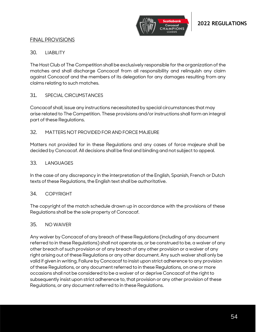

### <span id="page-53-0"></span>FINAL PROVISIONS

#### <span id="page-53-1"></span>30. LIABILITY

The Host Club of The Competition shall be exclusively responsible for the organization of the matches and shall discharge Concacaf from all responsibility and relinquish any claim against Concacaf and the members of its delegation for any damages resulting from any claims relating to such matches.

#### <span id="page-53-2"></span>31. SPECIAL CIRCUMSTANCES

Concacaf shall, issue any instructions necessitated by special circumstances that may arise related to The Competition. These provisions and/or instructions shall form an integral part of these Regulations.

#### <span id="page-53-3"></span>32. MATTERS NOT PROVIDED FOR AND FORCE MAJEURE

Matters not provided for in these Regulations and any cases of force majeure shall be decided by Concacaf. All decisions shall be final and binding and not subject to appeal.

#### <span id="page-53-4"></span>33. LANGUAGES

In the case of any discrepancy in the interpretation of the English, Spanish, French or Dutch texts of these Regulations, the English text shall be authoritative.

#### <span id="page-53-5"></span>34. COPYRIGHT

The copyright of the match schedule drawn up in accordance with the provisions of these Regulations shall be the sole property of Concacaf.

#### <span id="page-53-6"></span>35. NO WAIVER

Any waiver by Concacaf of any breach of these Regulations (including of any document referred to in these Regulations) shall not operate as, or be construed to be, a waiver of any other breach of such provision or of any breach of any other provision or a waiver of any right arising out of these Regulations or any other document. Any such waiver shall only be valid if given in writing. Failure by Concacaf to insist upon strict adherence to any provision of these Regulations, or any document referred to in these Regulations, on one or more occasions shall not be considered to be a waiver of or deprive Concacaf of the right to subsequently insist upon strict adherence to, that provision or any other provision of these Regulations, or any document referred to in these Regulations.